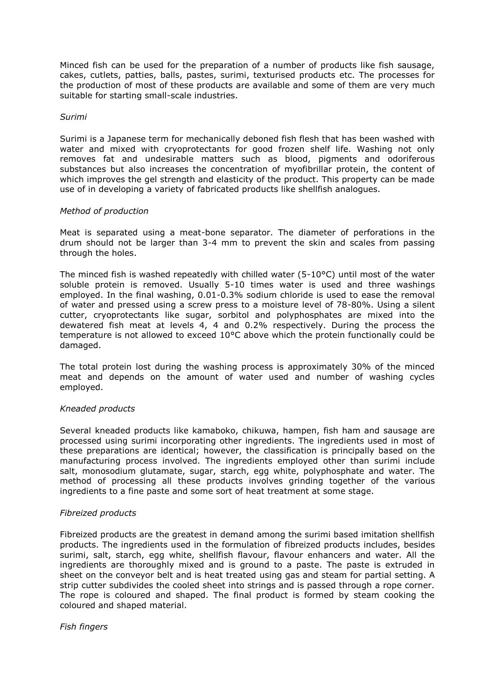Minced fish can be used for the preparation of a number of products like fish sausage, cakes, cutlets, patties, balls, pastes, surimi, texturised products etc. The processes for the production of most of these products are available and some of them are very much suitable for starting small-scale industries.

# *Surimi*

Surimi is a Japanese term for mechanically deboned fish flesh that has been washed with water and mixed with cryoprotectants for good frozen shelf life. Washing not only removes fat and undesirable matters such as blood, pigments and odoriferous substances but also increases the concentration of myofibrillar protein, the content of which improves the gel strength and elasticity of the product. This property can be made use of in developing a variety of fabricated products like shellfish analogues.

### *Method of production*

Meat is separated using a meat-bone separator. The diameter of perforations in the drum should not be larger than 3-4 mm to prevent the skin and scales from passing through the holes.

The minced fish is washed repeatedly with chilled water (5-10°C) until most of the water soluble protein is removed. Usually 5-10 times water is used and three washings employed. In the final washing, 0.01-0.3% sodium chloride is used to ease the removal of water and pressed using a screw press to a moisture level of 78-80%. Using a silent cutter, cryoprotectants like sugar, sorbitol and polyphosphates are mixed into the dewatered fish meat at levels 4, 4 and 0.2% respectively. During the process the temperature is not allowed to exceed 10°C above which the protein functionally could be damaged.

The total protein lost during the washing process is approximately 30% of the minced meat and depends on the amount of water used and number of washing cycles employed.

# *Kneaded products*

Several kneaded products like kamaboko, chikuwa, hampen, fish ham and sausage are processed using surimi incorporating other ingredients. The ingredients used in most of these preparations are identical; however, the classification is principally based on the manufacturing process involved. The ingredients employed other than surimi include salt, monosodium glutamate, sugar, starch, egg white, polyphosphate and water. The method of processing all these products involves grinding together of the various ingredients to a fine paste and some sort of heat treatment at some stage.

### *Fibreized products*

Fibreized products are the greatest in demand among the surimi based imitation shellfish products. The ingredients used in the formulation of fibreized products includes, besides surimi, salt, starch, egg white, shellfish flavour, flavour enhancers and water. All the ingredients are thoroughly mixed and is ground to a paste. The paste is extruded in sheet on the conveyor belt and is heat treated using gas and steam for partial setting. A strip cutter subdivides the cooled sheet into strings and is passed through a rope corner. The rope is coloured and shaped. The final product is formed by steam cooking the coloured and shaped material.

#### *Fish fingers*